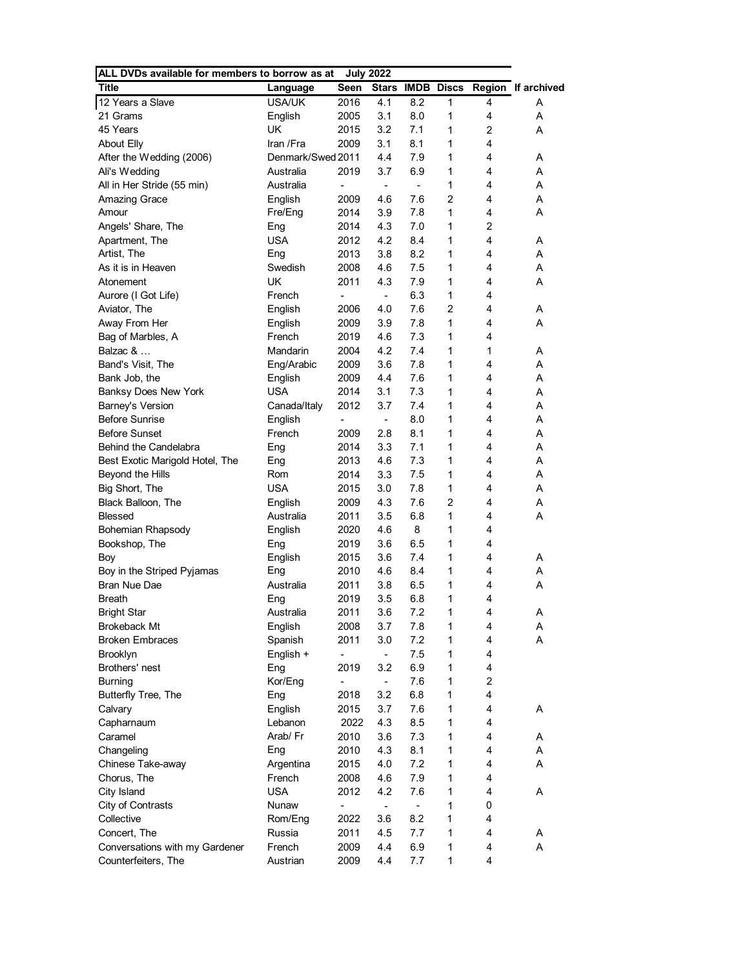| ALL DVDs available for members to borrow as at |                   |                              | <b>July 2022</b>         |                          |                         |   |                    |
|------------------------------------------------|-------------------|------------------------------|--------------------------|--------------------------|-------------------------|---|--------------------|
| <b>Title</b>                                   | Language          | Seen                         |                          |                          | <b>Stars IMDB Discs</b> |   | Region If archived |
| 12 Years a Slave                               | <b>USA/UK</b>     | 2016                         | 4.1                      | 8.2                      | 1                       | 4 | Α                  |
| 21 Grams                                       | English           | 2005                         | 3.1                      | 8.0                      | 1                       | 4 | A                  |
| 45 Years                                       | UK                | 2015                         | 3.2                      | 7.1                      | 1                       | 2 | A                  |
| <b>About Elly</b>                              | Iran /Fra         | 2009                         | 3.1                      | 8.1                      | 1                       | 4 |                    |
| After the Wedding (2006)                       | Denmark/Swed 2011 |                              | 4.4                      | 7.9                      | 1                       | 4 | A                  |
| Ali's Wedding                                  | Australia         | 2019                         | 3.7                      | 6.9                      | 1                       | 4 | A                  |
| All in Her Stride (55 min)                     | Australia         | $\qquad \qquad \blacksquare$ | $\overline{\phantom{a}}$ | $\overline{\phantom{a}}$ | 1                       | 4 | A                  |
| <b>Amazing Grace</b>                           | English           | 2009                         | 4.6                      | 7.6                      | $\overline{c}$          | 4 | A                  |
| Amour                                          | Fre/Eng           | 2014                         | 3.9                      | 7.8                      | 1                       | 4 | A                  |
| Angels' Share, The                             | Eng               | 2014                         | 4.3                      | 7.0                      | 1                       | 2 |                    |
| Apartment, The                                 | <b>USA</b>        | 2012                         | 4.2                      | 8.4                      | 1                       | 4 | A                  |
| Artist, The                                    | Eng               | 2013                         | 3.8                      | 8.2                      | 1                       | 4 | A                  |
| As it is in Heaven                             | Swedish           | 2008                         | 4.6                      | 7.5                      | 1                       | 4 | Α                  |
| Atonement                                      | UK                | 2011                         | 4.3                      | 7.9                      | 1                       | 4 | A                  |
| Aurore (I Got Life)                            | French            | $\qquad \qquad \blacksquare$ | $\overline{\phantom{a}}$ | 6.3                      | 1                       | 4 |                    |
| Aviator, The                                   | English           | 2006                         | 4.0                      | 7.6                      | 2                       | 4 | A                  |
| Away From Her                                  | English           | 2009                         | 3.9                      | 7.8                      | $\mathbf{1}$            | 4 | A                  |
| Bag of Marbles, A                              | French            | 2019                         | 4.6                      | 7.3                      | 1                       | 4 |                    |
| Balzac &                                       | Mandarin          | 2004                         | 4.2                      | 7.4                      | 1                       | 1 | Α                  |
| Band's Visit, The                              | Eng/Arabic        | 2009                         | 3.6                      | 7.8                      | 1                       | 4 | A                  |
| Bank Job, the                                  | English           | 2009                         | 4.4                      | 7.6                      | 1                       | 4 | Α                  |
| Banksy Does New York                           | USA               | 2014                         | 3.1                      | 7.3                      | 1                       | 4 | Α                  |
| Barney's Version                               | Canada/Italy      | 2012                         | 3.7                      | 7.4                      | 1                       | 4 | Α                  |
| <b>Before Sunrise</b>                          | English           | $\qquad \qquad \blacksquare$ | $\overline{\phantom{a}}$ | 8.0                      | 1                       | 4 | A                  |
| <b>Before Sunset</b>                           | French            | 2009                         | 2.8                      | 8.1                      | 1                       | 4 | A                  |
| Behind the Candelabra                          | Eng               | 2014                         | 3.3                      | 7.1                      | 1                       | 4 | Α                  |
| Best Exotic Marigold Hotel, The                | Eng               | 2013                         | 4.6                      | 7.3                      | 1                       | 4 | A                  |
| Beyond the Hills                               | Rom               | 2014                         | 3.3                      | 7.5                      | 1                       | 4 | Α                  |
| Big Short, The                                 | <b>USA</b>        | 2015                         | 3.0                      | 7.8                      | 1                       | 4 | A                  |
| Black Balloon, The                             | English           | 2009                         | 4.3                      | 7.6                      | 2                       | 4 | Α                  |
| <b>Blessed</b>                                 | Australia         | 2011                         | 3.5                      | 6.8                      | 1                       | 4 | A                  |
| <b>Bohemian Rhapsody</b>                       | English           | 2020                         | 4.6                      | 8                        | 1                       | 4 |                    |
| Bookshop, The                                  | Eng               | 2019                         | 3.6                      | 6.5                      | 1                       | 4 |                    |
| Boy                                            | English           | 2015                         | 3.6                      | 7.4                      | 1                       | 4 | Α                  |
| Boy in the Striped Pyjamas                     | Eng               | 2010                         | 4.6                      | 8.4                      | 1                       | 4 | A                  |
| Bran Nue Dae                                   | Australia         | 2011                         | 3.8                      | 6.5                      | 1                       | 4 | A                  |
| <b>Breath</b>                                  | Eng               | 2019                         | 3.5                      | 6.8                      | 1                       | 4 |                    |
| <b>Bright Star</b>                             | Australia         | 2011                         | 3.6                      | 7.2                      | 1                       | 4 | A                  |
| Brokeback Mt                                   | English           | 2008                         | 3.7                      | 7.8                      | 1                       | 4 | Α                  |
| <b>Broken Embraces</b>                         | Spanish           | 2011                         | 3.0                      | 7.2                      | 1                       | 4 | A                  |
| Brooklyn                                       | English +         | $\qquad \qquad \blacksquare$ | ۰.                       | 7.5                      | 1                       | 4 |                    |
| Brothers' nest                                 | Eng               | 2019                         | 3.2                      | 6.9                      | 1                       | 4 |                    |
| <b>Burning</b>                                 | Kor/Eng           | $\overline{\phantom{0}}$     | $\blacksquare$           | 7.6                      | 1                       | 2 |                    |
| Butterfly Tree, The                            | Eng               | 2018                         | 3.2                      | 6.8                      | 1                       | 4 |                    |
| Calvary                                        | English           | 2015                         | 3.7                      | 7.6                      | 1                       | 4 | Α                  |
| Capharnaum                                     | Lebanon           | 2022                         | 4.3                      | 8.5                      | 1                       | 4 |                    |
| Caramel                                        | Arab/Fr           | 2010                         | 3.6                      | 7.3                      | 1                       | 4 | A                  |
| Changeling                                     | Eng               | 2010                         | 4.3                      | 8.1                      | 1                       | 4 | Α                  |
| Chinese Take-away                              | Argentina         | 2015                         | 4.0                      | 7.2                      | 1                       | 4 | A                  |
| Chorus, The                                    | French            | 2008                         | 4.6                      | 7.9                      | 1                       | 4 |                    |
| City Island                                    | <b>USA</b>        | 2012                         | 4.2                      | 7.6                      | 1                       | 4 | Α                  |
| City of Contrasts                              | Nunaw             | $\qquad \qquad \blacksquare$ | $\overline{\phantom{a}}$ | $\blacksquare$           | 1                       | 0 |                    |
| Collective                                     | Rom/Eng           | 2022                         | 3.6                      | 8.2                      | 1                       | 4 |                    |
| Concert, The                                   | Russia            | 2011                         | 4.5                      | 7.7                      | 1                       | 4 | A                  |
| Conversations with my Gardener                 | French            | 2009                         | 4.4                      | 6.9                      | 1                       | 4 | Α                  |
| Counterfeiters, The                            | Austrian          | 2009                         | 4.4                      | 7.7                      | 1                       | 4 |                    |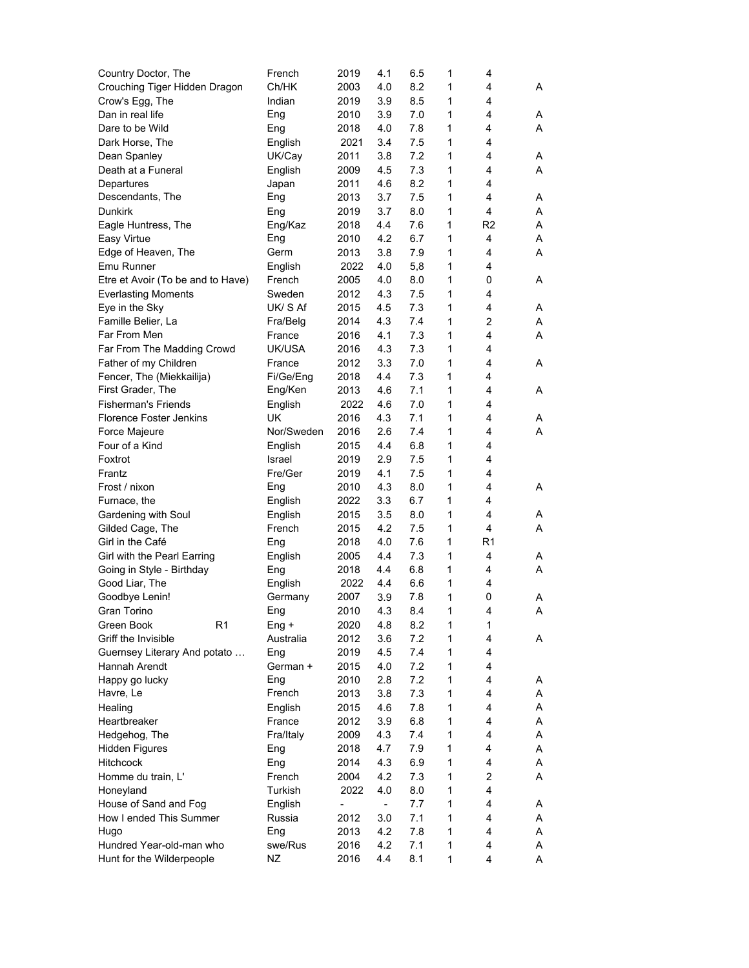| Country Doctor, The                             | French              | 2019         | 4.1                      | 6.5        | 1 | 4  |   |
|-------------------------------------------------|---------------------|--------------|--------------------------|------------|---|----|---|
| Crouching Tiger Hidden Dragon                   | Ch/HK               | 2003         | 4.0                      | 8.2        | 1 | 4  | Α |
| Crow's Egg, The                                 | Indian              | 2019         | 3.9                      | 8.5        | 1 | 4  |   |
| Dan in real life                                | Eng                 | 2010         | 3.9                      | 7.0        | 1 | 4  | A |
| Dare to be Wild                                 | Eng                 | 2018         | 4.0                      | 7.8        | 1 | 4  | A |
| Dark Horse, The                                 | English             | 2021         | 3.4                      | 7.5        | 1 | 4  |   |
| Dean Spanley                                    | UK/Cay              | 2011         | 3.8                      | 7.2        | 1 | 4  | Α |
| Death at a Funeral                              | English             | 2009         | 4.5                      | 7.3        | 1 | 4  | A |
| Departures                                      | Japan               | 2011         | 4.6                      | 8.2        | 1 | 4  |   |
| Descendants, The                                | Eng                 | 2013         | 3.7                      | 7.5        | 1 | 4  | Α |
| <b>Dunkirk</b>                                  | Eng                 | 2019         | 3.7                      | 8.0        | 1 | 4  | Α |
| Eagle Huntress, The                             | Eng/Kaz             | 2018         | 4.4                      | 7.6        | 1 | R2 | A |
| Easy Virtue                                     | Eng                 | 2010         | 4.2                      | 6.7        | 1 | 4  | Α |
| Edge of Heaven, The                             | Germ                | 2013         | 3.8                      | 7.9        | 1 | 4  | Α |
| Emu Runner                                      | English             | 2022         | 4.0                      | 5,8        | 1 | 4  |   |
| Etre et Avoir (To be and to Have)               | French              | 2005         | 4.0                      | 8.0        | 1 | 0  | Α |
| <b>Everlasting Moments</b>                      | Sweden              | 2012         | 4.3                      | 7.5        | 1 | 4  |   |
| Eye in the Sky                                  | UK/S Af             | 2015         | 4.5                      | 7.3        | 1 | 4  | Α |
| Famille Belier, La                              | Fra/Belg            | 2014         | 4.3                      | 7.4        | 1 | 2  | Α |
| Far From Men                                    | France              | 2016         | 4.1                      |            | 1 | 4  | A |
| Far From The Madding Crowd                      | UK/USA              |              | 4.3                      | 7.3        | 1 | 4  |   |
| Father of my Children                           |                     | 2016<br>2012 | 3.3                      | 7.3<br>7.0 | 1 | 4  |   |
|                                                 | France<br>Fi/Ge/Eng |              |                          |            | 1 | 4  | Α |
| Fencer, The (Miekkailija)                       |                     | 2018         | 4.4                      | 7.3        |   | 4  |   |
| First Grader, The<br><b>Fisherman's Friends</b> | Eng/Ken             | 2013         | 4.6                      | 7.1        | 1 |    | A |
| <b>Florence Foster Jenkins</b>                  | English             | 2022         | 4.6                      | 7.0        | 1 | 4  |   |
|                                                 | UK                  | 2016         | 4.3                      | 7.1        | 1 | 4  | A |
| Force Majeure                                   | Nor/Sweden          | 2016         | 2.6                      | 7.4        | 1 | 4  | Α |
| Four of a Kind                                  | English             | 2015         | 4.4                      | 6.8        | 1 | 4  |   |
| Foxtrot                                         | Israel              | 2019         | 2.9                      | 7.5        | 1 | 4  |   |
| Frantz                                          | Fre/Ger             | 2019         | 4.1                      | 7.5        | 1 | 4  |   |
| Frost / nixon                                   | Eng                 | 2010         | 4.3                      | 8.0        | 1 | 4  | A |
| Furnace, the                                    | English             | 2022         | 3.3                      | 6.7        | 1 | 4  |   |
| Gardening with Soul                             | English             | 2015         | 3.5                      | 8.0        | 1 | 4  | A |
| Gilded Cage, The                                | French              | 2015         | 4.2                      | 7.5        | 1 | 4  | Α |
| Girl in the Café                                | Eng                 | 2018         | 4.0                      | 7.6        | 1 | R1 |   |
| Girl with the Pearl Earring                     | English             | 2005         | 4.4                      | 7.3        | 1 | 4  | A |
| Going in Style - Birthday                       | Eng                 | 2018         | 4.4                      | 6.8        | 1 | 4  | A |
| Good Liar, The                                  | English             | 2022         | 4.4                      | 6.6        | 1 | 4  |   |
| Goodbye Lenin!                                  | Germany             | 2007         | 3.9                      | 7.8        | 1 | 0  | Α |
| Gran Torino                                     | Eng                 | 2010         | 4.3                      | 8.4        | 1 | 4  | Α |
| Green Book<br>R <sub>1</sub>                    | Eng +               | 2020         | 4.8                      | 8.2        | 1 | 1  |   |
| Griff the Invisible                             | Australia           | 2012         | 3.6                      | 7.2        | 1 | 4  | A |
| Guernsey Literary And potato                    | Eng                 | 2019         | 4.5                      | 7.4        | 1 | 4  |   |
| Hannah Arendt                                   | German +            | 2015         | 4.0                      | 7.2        | 1 | 4  |   |
| Happy go lucky                                  | Eng                 | 2010         | 2.8                      | 7.2        | 1 | 4  | A |
| Havre, Le                                       | French              | 2013         | 3.8                      | 7.3        | 1 | 4  | Α |
| Healing                                         | English             | 2015         | 4.6                      | 7.8        | 1 | 4  | A |
| Heartbreaker                                    | France              | 2012         | 3.9                      | 6.8        | 1 | 4  | Α |
| Hedgehog, The                                   | Fra/Italy           | 2009         | 4.3                      | 7.4        | 1 | 4  | Α |
| <b>Hidden Figures</b>                           | Eng                 | 2018         | 4.7                      | 7.9        | 1 | 4  | Α |
| Hitchcock                                       | Eng                 | 2014         | 4.3                      | 6.9        | 1 | 4  | Α |
| Homme du train, L'                              | French              | 2004         | 4.2                      | 7.3        | 1 | 2  | Α |
| Honeyland                                       | Turkish             | 2022         | 4.0                      | 8.0        | 1 | 4  |   |
| House of Sand and Fog                           | English             | -            | $\overline{\phantom{0}}$ | 7.7        | 1 | 4  | Α |
| How I ended This Summer                         | Russia              | 2012         | 3.0                      | 7.1        | 1 | 4  | A |
| Hugo                                            | Eng                 | 2013         | 4.2                      | 7.8        | 1 | 4  | A |
| Hundred Year-old-man who                        | swe/Rus             | 2016         | 4.2                      | 7.1        | 1 | 4  | A |
| Hunt for the Wilderpeople                       | ΝZ                  | 2016         | 4.4                      | 8.1        | 1 | 4  | Α |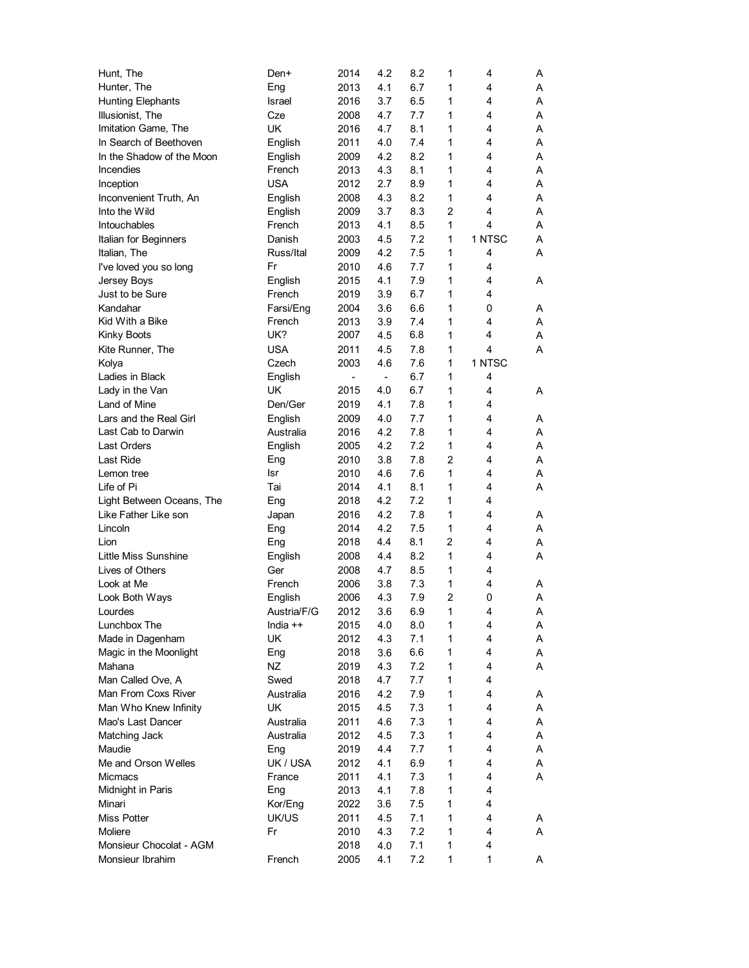| Hunt, The                   | Den+        | 2014           | 4.2                      | 8.2 | 1              | 4              | A |
|-----------------------------|-------------|----------------|--------------------------|-----|----------------|----------------|---|
| Hunter, The                 | Eng         | 2013           | 4.1                      | 6.7 | 1              | 4              | Α |
| <b>Hunting Elephants</b>    | Israel      | 2016           | 3.7                      | 6.5 | 1              | 4              | Α |
| Illusionist, The            | Cze         | 2008           | 4.7                      | 7.7 | 1              | 4              | Α |
| Imitation Game, The         | UK          | 2016           | 4.7                      | 8.1 | 1              | 4              | Α |
| In Search of Beethoven      | English     | 2011           | 4.0                      | 7.4 | 1              | 4              | Α |
| In the Shadow of the Moon   | English     | 2009           | 4.2                      | 8.2 | 1              | 4              | Α |
| Incendies                   | French      | 2013           | 4.3                      | 8.1 | 1              | 4              | Α |
| Inception                   | <b>USA</b>  | 2012           | 2.7                      | 8.9 | 1              | 4              | Α |
| Inconvenient Truth, An      | English     | 2008           | 4.3                      | 8.2 | 1              | 4              | Α |
| Into the Wild               | English     | 2009           | 3.7                      | 8.3 | $\overline{2}$ | 4              | A |
| <b>Intouchables</b>         | French      | 2013           | 4.1                      | 8.5 | $\mathbf{1}$   | $\overline{4}$ | Α |
| Italian for Beginners       | Danish      | 2003           | 4.5                      | 7.2 | 1              | 1 NTSC         | Α |
| Italian, The                | Russ/Ital   | 2009           | 4.2                      | 7.5 | 1              | 4              | Α |
| I've loved you so long      | Fr          | 2010           | 4.6                      | 7.7 | 1              | 4              |   |
| Jersey Boys                 | English     | 2015           | 4.1                      | 7.9 | 1              | 4              | Α |
| Just to be Sure             | French      | 2019           | 3.9                      | 6.7 | 1              | 4              |   |
| Kandahar                    | Farsi/Eng   | 2004           | 3.6                      | 6.6 | 1              | 0              | Α |
| Kid With a Bike             | French      | 2013           | 3.9                      | 7.4 | 1              | 4              | A |
| <b>Kinky Boots</b>          | UK?         | 2007           | 4.5                      | 6.8 | 1              | 4              | Α |
| Kite Runner, The            | <b>USA</b>  | 2011           | 4.5                      | 7.8 | 1              | 4              | Α |
| Kolya                       | Czech       | 2003           | 4.6                      | 7.6 | 1              | 1 NTSC         |   |
| Ladies in Black             | English     | $\blacksquare$ | $\overline{\phantom{a}}$ | 6.7 | 1              | 4              |   |
| Lady in the Van             | UK          | 2015           | 4.0                      | 6.7 | 1              | 4              | Α |
| Land of Mine                | Den/Ger     | 2019           | 4.1                      | 7.8 | 1              | 4              |   |
| Lars and the Real Girl      | English     | 2009           | 4.0                      | 7.7 | 1              | 4              | Α |
| Last Cab to Darwin          | Australia   | 2016           | 4.2                      | 7.8 | 1              | 4              | Α |
| Last Orders                 | English     | 2005           | 4.2                      | 7.2 | $\mathbf{1}$   | 4              | Α |
| Last Ride                   | Eng         | 2010           | 3.8                      | 7.8 | 2              | 4              | Α |
| Lemon tree                  | lsr         | 2010           | 4.6                      | 7.6 | 1              | 4              | Α |
| Life of Pi                  | Tai         | 2014           | 4.1                      | 8.1 | 1              | 4              | Α |
| Light Between Oceans, The   | Eng         | 2018           | 4.2                      | 7.2 | 1              | 4              |   |
| Like Father Like son        | Japan       | 2016           | 4.2                      | 7.8 | 1              | 4              | Α |
| Lincoln                     | Eng         | 2014           | 4.2                      | 7.5 | 1              | 4              | Α |
| Lion                        | Eng         | 2018           | 4.4                      | 8.1 | 2              | 4              | Α |
| <b>Little Miss Sunshine</b> | English     | 2008           | 4.4                      | 8.2 | 1              | 4              | Α |
| Lives of Others             | Ger         | 2008           | 4.7                      | 8.5 | 1              | 4              |   |
| Look at Me                  | French      | 2006           | 3.8                      | 7.3 | 1              | 4              | Α |
| Look Both Ways              | English     | 2006           | 4.3                      | 7.9 | $\overline{c}$ | 0              | Α |
| Lourdes                     | Austria/F/G | 2012           | 3.6                      | 6.9 | 1              | 4              | A |
| Lunchbox The                | India ++    | 2015           | 4.0                      | 8.0 | 1              | 4              | Α |
| Made in Dagenham            | UK          | 2012           | 4.3                      | 7.1 | 1              | 4              | A |
| Magic in the Moonlight      | Eng         | 2018           | 3.6                      | 6.6 | 1              | 4              | Α |
| Mahana                      | NZ          | 2019           | 4.3                      | 7.2 | 1              | 4              | Α |
| Man Called Ove, A           | Swed        | 2018           | 4.7                      | 7.7 | 1              | 4              |   |
| Man From Coxs River         | Australia   | 2016           | 4.2                      | 7.9 | 1              | 4              | Α |
| Man Who Knew Infinity       | UK          | 2015           | 4.5                      | 7.3 | 1              | 4              | A |
| Mao's Last Dancer           | Australia   | 2011           | 4.6                      | 7.3 | 1              | 4              | A |
| Matching Jack               | Australia   | 2012           | 4.5                      | 7.3 | 1              | 4              | Α |
| Maudie                      | Eng         | 2019           | 4.4                      | 7.7 | 1              | 4              | Α |
| Me and Orson Welles         | UK / USA    | 2012           | 4.1                      | 6.9 | 1              | 4              | Α |
| Micmacs                     | France      | 2011           | 4.1                      | 7.3 | 1              | 4              | Α |
| Midnight in Paris           | Eng         | 2013           | 4.1                      | 7.8 | 1              | 4              |   |
| Minari                      | Kor/Eng     | 2022           | 3.6                      | 7.5 | 1              | 4              |   |
| Miss Potter                 | UK/US       | 2011           | 4.5                      | 7.1 | 1              | 4              | Α |
| Moliere                     | Fr          | 2010           | 4.3                      | 7.2 | 1              | 4              | A |
| Monsieur Chocolat - AGM     |             | 2018           | 4.0                      | 7.1 | 1              | 4              |   |
| Monsieur Ibrahim            | French      | 2005           | 4.1                      | 7.2 | 1              | 1              | A |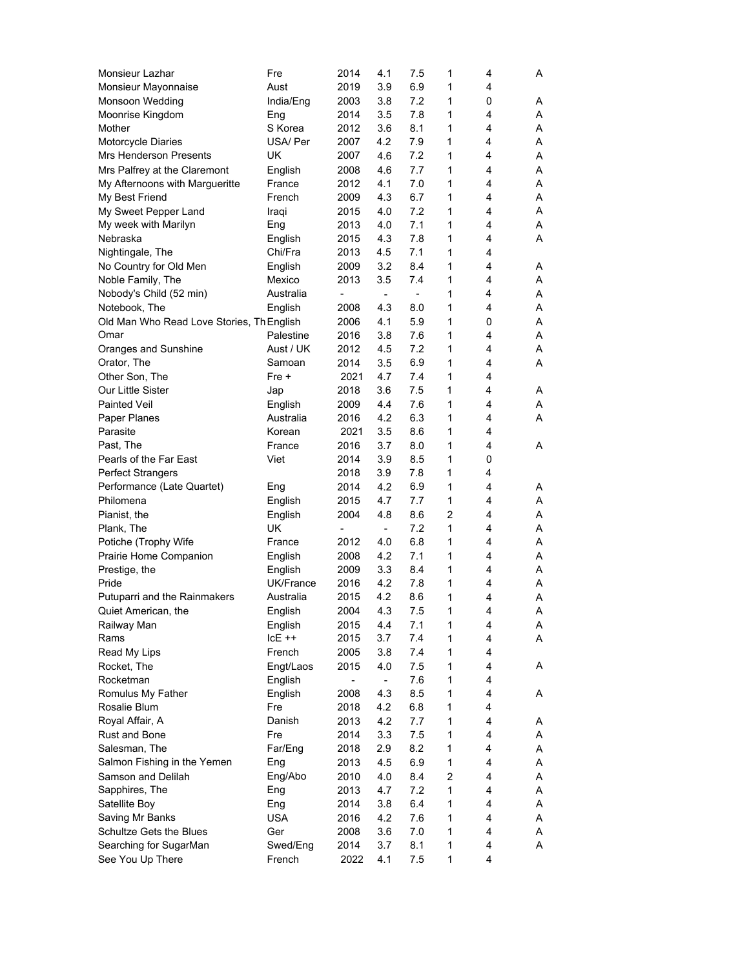| Monsieur Lazhar                           | Fre        | 2014                     | 4.1                      | 7.5                          | 1            | 4 | A |
|-------------------------------------------|------------|--------------------------|--------------------------|------------------------------|--------------|---|---|
| Monsieur Mayonnaise                       | Aust       | 2019                     | 3.9                      | 6.9                          | 1            | 4 |   |
| Monsoon Wedding                           | India/Eng  | 2003                     | 3.8                      | 7.2                          | 1            | 0 | Α |
| Moonrise Kingdom                          | Eng        | 2014                     | 3.5                      | 7.8                          | 1            | 4 | Α |
| Mother                                    | S Korea    | 2012                     | 3.6                      | 8.1                          | 1            | 4 | Α |
| Motorcycle Diaries                        | USA/ Per   | 2007                     | 4.2                      | 7.9                          | 1            | 4 | Α |
| <b>Mrs Henderson Presents</b>             | UK         | 2007                     | 4.6                      | 7.2                          | 1            | 4 | Α |
| Mrs Palfrey at the Claremont              | English    | 2008                     | 4.6                      | 7.7                          | 1            | 4 | Α |
| My Afternoons with Margueritte            | France     | 2012                     | 4.1                      | 7.0                          | 1            | 4 | Α |
| My Best Friend                            | French     | 2009                     | 4.3                      | 6.7                          | 1            | 4 | Α |
| My Sweet Pepper Land                      | Iraqi      | 2015                     | 4.0                      | 7.2                          | $\mathbf{1}$ | 4 | Α |
| My week with Marilyn                      | Eng        | 2013                     | 4.0                      | 7.1                          | 1            | 4 | Α |
| Nebraska                                  | English    | 2015                     | 4.3                      | 7.8                          | 1            | 4 | Α |
| Nightingale, The                          | Chi/Fra    | 2013                     | 4.5                      | 7.1                          | 1            | 4 |   |
| No Country for Old Men                    | English    | 2009                     | 3.2                      | 8.4                          | 1            | 4 | A |
| Noble Family, The                         | Mexico     | 2013                     | 3.5                      | 7.4                          | 1            | 4 | Α |
| Nobody's Child (52 min)                   | Australia  | $\overline{\phantom{0}}$ | $\overline{\phantom{a}}$ | $\qquad \qquad \blacksquare$ | 1            | 4 | Α |
| Notebook, The                             | English    | 2008                     | 4.3                      | 8.0                          | 1            | 4 | Α |
| Old Man Who Read Love Stories, Th English |            | 2006                     | 4.1                      | 5.9                          | 1            | 0 | Α |
| Omar                                      | Palestine  | 2016                     | 3.8                      | 7.6                          | 1            | 4 | Α |
| Oranges and Sunshine                      | Aust / UK  | 2012                     | 4.5                      | 7.2                          | 1            | 4 | Α |
| Orator, The                               | Samoan     | 2014                     | 3.5                      | 6.9                          | 1            | 4 | Α |
| Other Son, The                            | $Fre +$    | 2021                     | 4.7                      | 7.4                          | 1            | 4 |   |
| Our Little Sister                         | Jap        | 2018                     | 3.6                      | 7.5                          | 1            | 4 | A |
| <b>Painted Veil</b>                       | English    | 2009                     | 4.4                      | 7.6                          | 1            | 4 | Α |
| Paper Planes                              | Australia  | 2016                     | 4.2                      | 6.3                          | 1            | 4 | A |
| Parasite                                  | Korean     | 2021                     | 3.5                      | 8.6                          | 1            | 4 |   |
| Past, The                                 | France     | 2016                     | 3.7                      | 8.0                          | 1            | 4 | Α |
| Pearls of the Far East                    | Viet       | 2014                     | 3.9                      | 8.5                          | 1            | 0 |   |
| <b>Perfect Strangers</b>                  |            | 2018                     | 3.9                      | 7.8                          | 1            | 4 |   |
| Performance (Late Quartet)                | Eng        | 2014                     | 4.2                      | 6.9                          | 1            | 4 | A |
| Philomena                                 | English    | 2015                     | 4.7                      | 7.7                          | 1            | 4 | Α |
| Pianist, the                              | English    | 2004                     | 4.8                      | 8.6                          | 2            | 4 | Α |
| Plank, The                                | UK         |                          | $\overline{\phantom{a}}$ | 7.2                          | 1            | 4 | Α |
| Potiche (Trophy Wife                      | France     | 2012                     | 4.0                      | 6.8                          | $\mathbf{1}$ | 4 | Α |
| Prairie Home Companion                    | English    | 2008                     | 4.2                      | 7.1                          | 1            | 4 | Α |
| Prestige, the                             | English    | 2009                     | 3.3                      | 8.4                          | 1            | 4 | Α |
| Pride                                     | UK/France  | 2016                     | 4.2                      | 7.8                          | 1            | 4 | Α |
| Putuparri and the Rainmakers              | Australia  | 2015                     | 4.2                      | 8.6                          | 1            | 4 | А |
| Quiet American, the                       | English    | 2004                     | 4.3                      | 7.5                          | 1            | 4 | Α |
| Railway Man                               | English    | 2015                     | 4.4                      | 7.1                          | 1            | 4 | A |
| Rams                                      | $ICE + +$  | 2015                     | 3.7                      | 7.4                          | 1            | 4 | Α |
| Read My Lips                              | French     | 2005                     | 3.8                      | 7.4                          | $\mathbf{1}$ | 4 |   |
| Rocket, The                               | Engt/Laos  | 2015                     | 4.0                      | 7.5                          | $\mathbf{1}$ | 4 | Α |
| Rocketman                                 | English    | $\overline{\phantom{a}}$ | $\overline{\phantom{a}}$ | 7.6                          | $\mathbf{1}$ | 4 |   |
| Romulus My Father                         | English    | 2008                     | 4.3                      | 8.5                          | $\mathbf{1}$ | 4 | Α |
| Rosalie Blum                              | Fre        | 2018                     | 4.2                      | 6.8                          | 1            | 4 |   |
| Royal Affair, A                           | Danish     | 2013                     | 4.2                      | 7.7                          | 1            | 4 | Α |
| Rust and Bone                             | Fre        | 2014                     | 3.3                      | 7.5                          | 1            | 4 | Α |
| Salesman, The                             | Far/Eng    | 2018                     | 2.9                      | 8.2                          | 1            | 4 | Α |
| Salmon Fishing in the Yemen               | Eng        | 2013                     | 4.5                      | 6.9                          | $\mathbf{1}$ | 4 | Α |
| Samson and Delilah                        | Eng/Abo    | 2010                     | 4.0                      | 8.4                          | 2            | 4 | Α |
| Sapphires, The                            | Eng        | 2013                     | 4.7                      | 7.2                          | $\mathbf{1}$ | 4 | Α |
| Satellite Boy                             | Eng        | 2014                     | 3.8                      | 6.4                          | $\mathbf{1}$ | 4 | Α |
| Saving Mr Banks                           | <b>USA</b> | 2016                     | 4.2                      | 7.6                          | 1            | 4 | Α |
| Schultze Gets the Blues                   | Ger        | 2008                     | 3.6                      | 7.0                          | 1            | 4 | Α |
| Searching for SugarMan                    | Swed/Eng   | 2014                     | 3.7                      | 8.1                          | 1            | 4 | A |
| See You Up There                          | French     | 2022                     | 4.1                      | 7.5                          | 1            | 4 |   |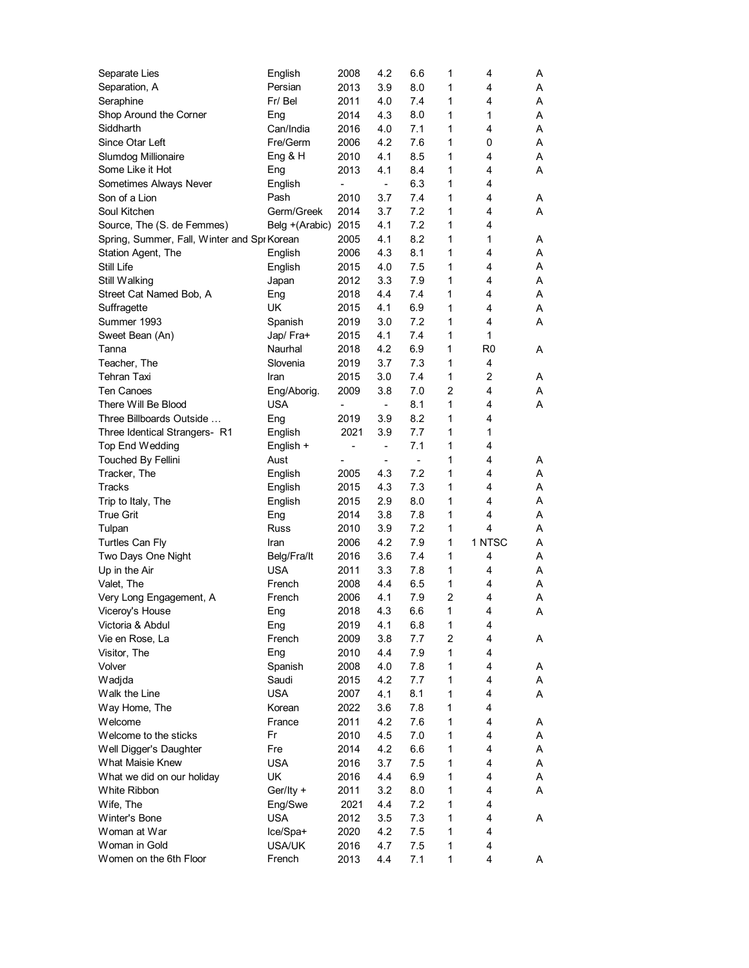| Separate Lies                               | English             | 2008                     | 4.2                      | 6.6            | 1 | 4            | A |
|---------------------------------------------|---------------------|--------------------------|--------------------------|----------------|---|--------------|---|
| Separation, A                               | Persian             | 2013                     | 3.9                      | 8.0            | 1 | 4            | Α |
| Seraphine                                   | Fr/ Bel             | 2011                     | 4.0                      | 7.4            | 1 | 4            | Α |
| Shop Around the Corner                      | Eng                 | 2014                     | 4.3                      | 8.0            | 1 | 1            | Α |
| Siddharth                                   | Can/India           | 2016                     | 4.0                      | 7.1            | 1 | 4            | Α |
| Since Otar Left                             | Fre/Germ            | 2006                     | 4.2                      | 7.6            | 1 | 0            | Α |
| Slumdog Millionaire                         | Eng & H             | 2010                     | 4.1                      | 8.5            | 1 | 4            | Α |
| Some Like it Hot                            | Eng                 | 2013                     | 4.1                      | 8.4            | 1 | 4            | Α |
| Sometimes Always Never                      | English             | $\overline{\phantom{0}}$ | -                        | 6.3            | 1 | 4            |   |
| Son of a Lion                               | Pash                | 2010                     | 3.7                      | 7.4            | 1 | 4            | A |
| Soul Kitchen                                | Germ/Greek          | 2014                     | 3.7                      | 7.2            | 1 | 4            | Α |
| Source, The (S. de Femmes)                  | Belg +(Arabic) 2015 |                          | 4.1                      | 7.2            | 1 | 4            |   |
| Spring, Summer, Fall, Winter and Spi Korean |                     | 2005                     | 4.1                      | 8.2            | 1 | 1            | A |
| Station Agent, The                          | English             | 2006                     | 4.3                      | 8.1            | 1 | 4            | Α |
| Still Life                                  | English             | 2015                     | 4.0                      | 7.5            | 1 | 4            | A |
| Still Walking                               | Japan               | 2012                     | 3.3                      | 7.9            | 1 | 4            | Α |
| Street Cat Named Bob, A                     | Eng                 | 2018                     | 4.4                      | 7.4            | 1 | 4            | Α |
| Suffragette                                 | UK                  | 2015                     | 4.1                      | 6.9            | 1 | 4            | Α |
| Summer 1993                                 | Spanish             | 2019                     | 3.0                      | 7.2            | 1 | 4            | A |
| Sweet Bean (An)                             | Jap/ Fra+           | 2015                     | 4.1                      | 7.4            | 1 | $\mathbf{1}$ |   |
| Tanna                                       | Naurhal             | 2018                     | 4.2                      | 6.9            | 1 | R0           | A |
| Teacher, The                                | Slovenia            | 2019                     | 3.7                      | 7.3            | 1 | 4            |   |
| Tehran Taxi                                 | Iran                | 2015                     | 3.0                      | 7.4            | 1 | 2            | A |
| <b>Ten Canoes</b>                           | Eng/Aborig.         | 2009                     | 3.8                      | 7.0            | 2 | 4            | A |
| There Will Be Blood                         | USA                 | -                        | $\overline{\phantom{a}}$ | 8.1            | 1 | 4            | Α |
| Three Billboards Outside                    | Eng                 | 2019                     | 3.9                      | 8.2            | 1 | 4            |   |
| Three Identical Strangers- R1               | English             | 2021                     | 3.9                      | 7.7            | 1 | 1            |   |
| <b>Top End Wedding</b>                      | English +           | -                        | $\overline{\phantom{0}}$ | 7.1            | 1 | 4            |   |
|                                             | Aust                |                          |                          | $\blacksquare$ | 1 | 4            | A |
| <b>Touched By Fellini</b>                   |                     |                          | $\overline{\phantom{m}}$ | 7.2            | 1 | 4            |   |
| Tracker, The                                | English             | 2005                     | 4.3                      |                |   | 4            | Α |
| Tracks                                      | English             | 2015                     | 4.3                      | 7.3            | 1 |              | Α |
| Trip to Italy, The                          | English             | 2015                     | 2.9                      | 8.0            | 1 | 4            | A |
| <b>True Grit</b>                            | Eng                 | 2014                     | 3.8                      | 7.8            | 1 | 4            | Α |
| Tulpan                                      | Russ                | 2010                     | 3.9                      | 7.2            | 1 | 4            | A |
| <b>Turtles Can Fly</b>                      | Iran                | 2006                     | 4.2                      | 7.9            | 1 | 1 NTSC       | A |
| Two Days One Night                          | Belg/Fra/It         | 2016                     | 3.6                      | 7.4            | 1 | 4            | Α |
| Up in the Air                               | <b>USA</b>          | 2011                     | 3.3                      | 7.8            | 1 | 4            | Α |
| Valet, The                                  | French              | 2008                     | 4.4                      | 6.5            | 1 | 4            | Α |
| Very Long Engagement, A                     | French              | 2006                     | 4.1                      | 7.9            | 2 | 4            | Α |
| Viceroy's House                             | Eng                 | 2018                     | 4.3                      | $6.6\,$        | 1 | 4            | A |
| Victoria & Abdul                            | Eng                 | 2019                     | 4.1                      | 6.8            | 1 | 4            |   |
| Vie en Rose, La                             | French              | 2009                     | 3.8                      | 7.7            | 2 | 4            | Α |
| Visitor, The                                | Eng                 | 2010                     | 4.4                      | 7.9            | 1 | 4            |   |
| Volver                                      | Spanish             | 2008                     | 4.0                      | 7.8            | 1 | 4            | Α |
| Wadjda                                      | Saudi               | 2015                     | 4.2                      | 7.7            | 1 | 4            | A |
| Walk the Line                               | <b>USA</b>          | 2007                     | 4.1                      | 8.1            | 1 | 4            | A |
| Way Home, The                               | Korean              | 2022                     | 3.6                      | 7.8            | 1 | 4            |   |
| Welcome                                     | France              | 2011                     | 4.2                      | 7.6            | 1 | 4            | Α |
| Welcome to the sticks                       | Fr                  | 2010                     | 4.5                      | 7.0            | 1 | 4            | Α |
| Well Digger's Daughter                      | Fre                 | 2014                     | 4.2                      | 6.6            | 1 | 4            | Α |
| What Maisie Knew                            | <b>USA</b>          | 2016                     | 3.7                      | 7.5            | 1 | 4            | Α |
| What we did on our holiday                  | UK                  | 2016                     | 4.4                      | 6.9            | 1 | 4            | Α |
| White Ribbon                                | Ger/Ity +           | 2011                     | 3.2                      | 8.0            | 1 | 4            | A |
| Wife, The                                   | Eng/Swe             | 2021                     | 4.4                      | 7.2            | 1 | 4            |   |
| Winter's Bone                               | <b>USA</b>          | 2012                     | 3.5                      | 7.3            | 1 | 4            | Α |
| Woman at War                                | Ice/Spa+            | 2020                     | 4.2                      | 7.5            | 1 | 4            |   |
| Woman in Gold                               | USA/UK              | 2016                     | 4.7                      | 7.5            | 1 | 4            |   |
| Women on the 6th Floor                      | French              | 2013                     | 4.4                      | 7.1            | 1 | 4            | A |